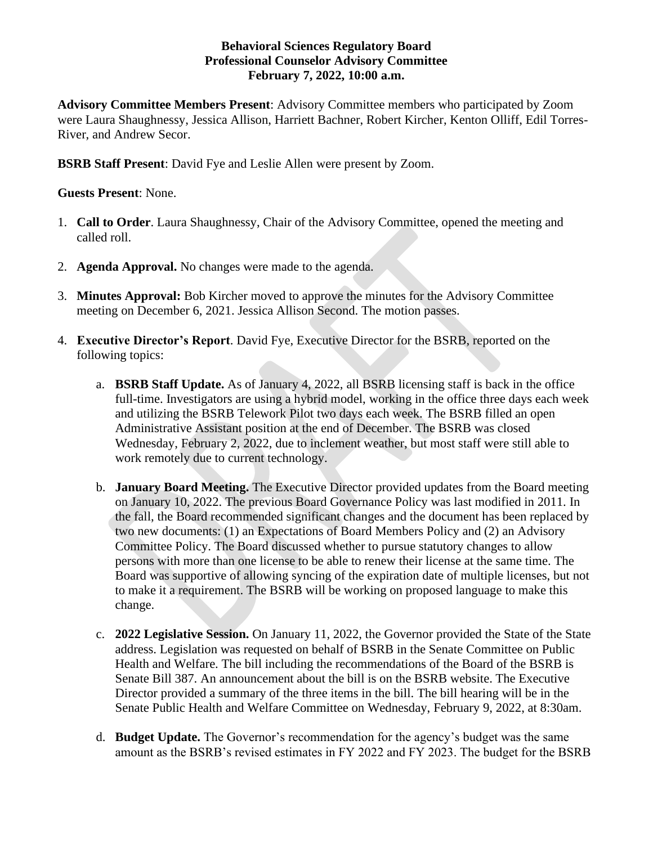## **Behavioral Sciences Regulatory Board Professional Counselor Advisory Committee February 7, 2022, 10:00 a.m.**

**Advisory Committee Members Present**: Advisory Committee members who participated by Zoom were Laura Shaughnessy, Jessica Allison, Harriett Bachner, Robert Kircher, Kenton Olliff, Edil Torres-River, and Andrew Secor.

**BSRB Staff Present**: David Fye and Leslie Allen were present by Zoom.

## **Guests Present**: None.

- 1. **Call to Order**. Laura Shaughnessy, Chair of the Advisory Committee, opened the meeting and called roll.
- 2. **Agenda Approval.** No changes were made to the agenda.
- 3. **Minutes Approval:** Bob Kircher moved to approve the minutes for the Advisory Committee meeting on December 6, 2021. Jessica Allison Second. The motion passes.
- 4. **Executive Director's Report**. David Fye, Executive Director for the BSRB, reported on the following topics:
	- a. **BSRB Staff Update.** As of January 4, 2022, all BSRB licensing staff is back in the office full-time. Investigators are using a hybrid model, working in the office three days each week and utilizing the BSRB Telework Pilot two days each week. The BSRB filled an open Administrative Assistant position at the end of December. The BSRB was closed Wednesday, February 2, 2022, due to inclement weather, but most staff were still able to work remotely due to current technology.
	- b. **January Board Meeting.** The Executive Director provided updates from the Board meeting on January 10, 2022. The previous Board Governance Policy was last modified in 2011. In the fall, the Board recommended significant changes and the document has been replaced by two new documents: (1) an Expectations of Board Members Policy and (2) an Advisory Committee Policy. The Board discussed whether to pursue statutory changes to allow persons with more than one license to be able to renew their license at the same time. The Board was supportive of allowing syncing of the expiration date of multiple licenses, but not to make it a requirement. The BSRB will be working on proposed language to make this change.
	- c. **2022 Legislative Session.** On January 11, 2022, the Governor provided the State of the State address. Legislation was requested on behalf of BSRB in the Senate Committee on Public Health and Welfare. The bill including the recommendations of the Board of the BSRB is Senate Bill 387. An announcement about the bill is on the BSRB website. The Executive Director provided a summary of the three items in the bill. The bill hearing will be in the Senate Public Health and Welfare Committee on Wednesday, February 9, 2022, at 8:30am.
	- d. **Budget Update.** The Governor's recommendation for the agency's budget was the same amount as the BSRB's revised estimates in FY 2022 and FY 2023. The budget for the BSRB